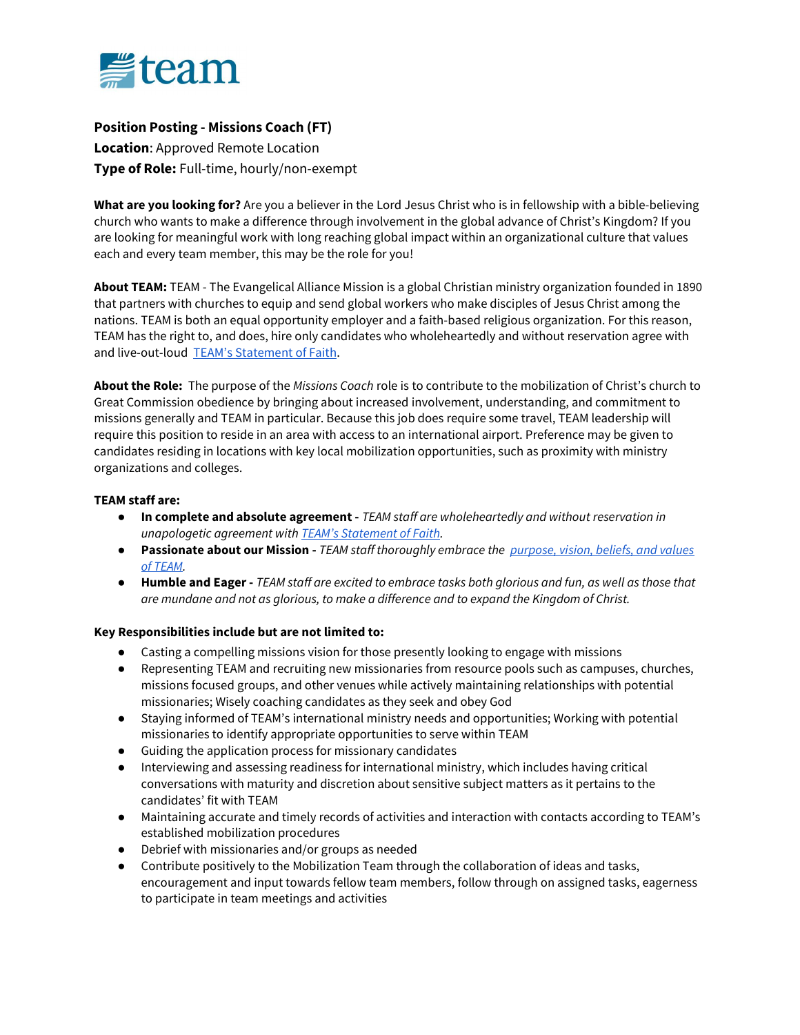

## Position Posting - Missions Coach (FT)

Location: Approved Remote Location Type of Role: Full-time, hourly/non-exempt

What are you looking for? Are you a believer in the Lord Jesus Christ who is in fellowship with a bible-believing church who wants to make a difference through involvement in the global advance of Christ's Kingdom? If you are looking for meaningful work with long reaching global impact within an organizational culture that values each and every team member, this may be the role for you!

About TEAM: TEAM - The Evangelical Alliance Mission is a global Christian ministry organization founded in 1890 that partners with churches to equip and send global workers who make disciples of Jesus Christ among the nations. TEAM is both an equal opportunity employer and a faith-based religious organization. For this reason, TEAM has the right to, and does, hire only candidates who wholeheartedly and without reservation agree with and live-out-loud TEAM's Statement of Faith.

About the Role: The purpose of the Missions Coach role is to contribute to the mobilization of Christ's church to Great Commission obedience by bringing about increased involvement, understanding, and commitment to missions generally and TEAM in particular. Because this job does require some travel, TEAM leadership will require this position to reside in an area with access to an international airport. Preference may be given to candidates residing in locations with key local mobilization opportunities, such as proximity with ministry organizations and colleges.

## TEAM staff are:

- In complete and absolute agreement TEAM staff are wholeheartedly and without reservation in unapologetic agreement with TEAM's Statement of Faith.
- **Passionate about our Mission TEAM staff thoroughly embrace the purpose, vision, beliefs, and values** of TEAM.
- Humble and Eager TEAM staff are excited to embrace tasks both glorious and fun, as well as those that are mundane and not as glorious, to make a difference and to expand the Kingdom of Christ.

## Key Responsibilities include but are not limited to:

- Casting a compelling missions vision for those presently looking to engage with missions
- Representing TEAM and recruiting new missionaries from resource pools such as campuses, churches, missions focused groups, and other venues while actively maintaining relationships with potential missionaries; Wisely coaching candidates as they seek and obey God
- Staying informed of TEAM's international ministry needs and opportunities; Working with potential missionaries to identify appropriate opportunities to serve within TEAM
- Guiding the application process for missionary candidates
- Interviewing and assessing readiness for international ministry, which includes having critical conversations with maturity and discretion about sensitive subject matters as it pertains to the candidates' fit with TEAM
- Maintaining accurate and timely records of activities and interaction with contacts according to TEAM's established mobilization procedures
- Debrief with missionaries and/or groups as needed
- Contribute positively to the Mobilization Team through the collaboration of ideas and tasks, encouragement and input towards fellow team members, follow through on assigned tasks, eagerness to participate in team meetings and activities